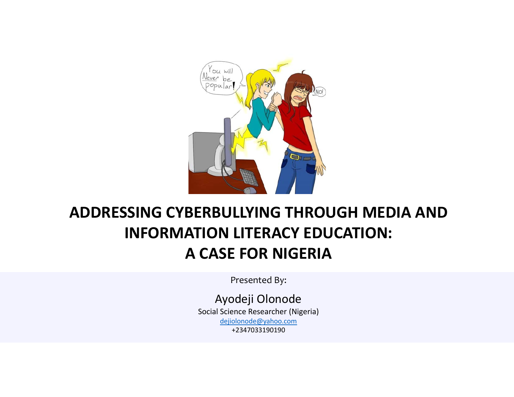

#### **ADDRESSING CYBERBULLYING THROUGH MEDIA AND INFORMATION LITERACY EDUCATION: A CASE FOR NIGERIA**

Presented By:

Ayodeji Olonode Social Science Researcher (Nigeria) dejiolonode@yahoo.com +2347033190190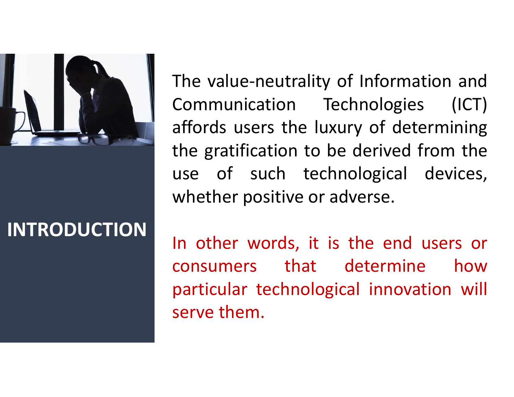

## **INTRODUCTION**

The value‐neutrality of Information and Communication Technologies (ICT) affords users the luxury of determining the gratification to be derived from the use of such technological devices, whether positive or adverse.

In other words, it is the end users or consumers that determine how particular technological innovation will serve them.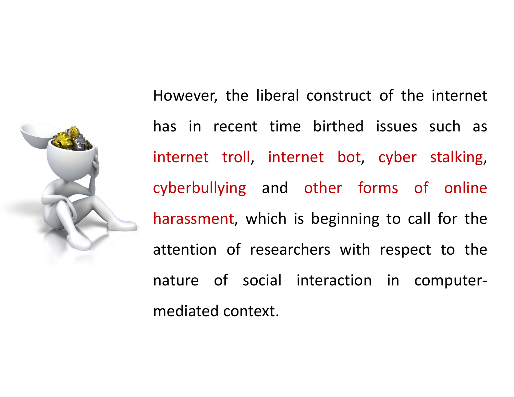

However, the liberal construct of the internet has in recent time birthed issues such as internet troll, internet bot, cyber stalking, cyberbullying and other forms of online harassment, which is beginning to call for the attention of researchers with respect to the nature of social interaction in computer‐ mediated context.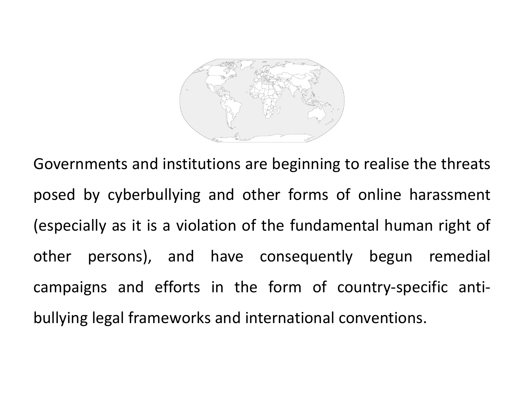

Governments and institutions are beginning to realise the threats posed by cyberbullying and other forms of online harassment (especially as it is <sup>a</sup> violation of the fundamental human right of other persons), and have consequently begun remedial campaigns and efforts in the form of country‐specific anti‐ bullying legal frameworks and international conventions.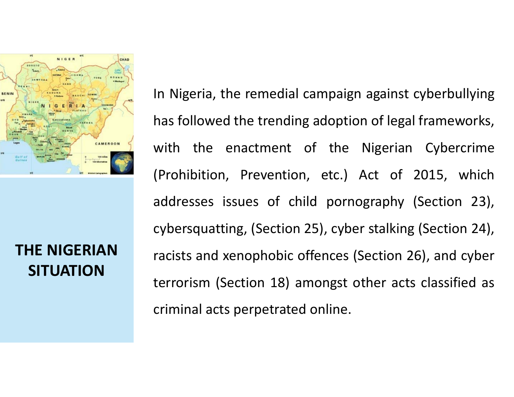

**THE NIGERIAN SITUATION**

In Nigeria, the remedial campaign against cyberbullying has followed the trending adoption of legal frameworks, with the enactment of the Nigerian Cybercrime (Prohibition, Prevention, etc.) Act of 2015, which addresses issues of child pornography (Section 23), cybersquatting, (Section 25), cyber stalking (Section 24), racists and xenophobic offences (Section 26), and cyber terrorism (Section 18) amongst other acts classified as criminal acts perpetrated online.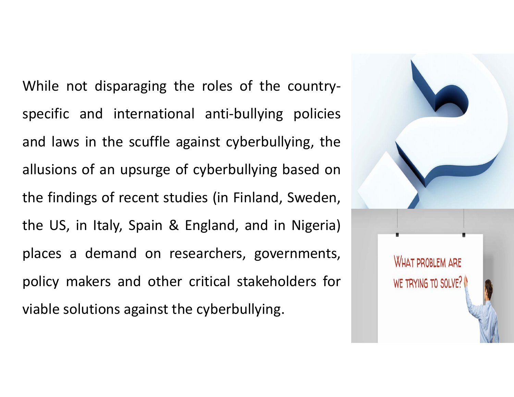While not disparaging the roles of the country‐ specific and international anti-bullying policies and laws in the scuffle against cyberbullying, the allusions of an upsurge of cyberbullying based on the findings of recent studies (in Finland, Sweden, the US, in Italy, Spain & England, and in Nigeria) places <sup>a</sup> demand on researchers, governments, policy makers and other critical stakeholders for viable solutions against the cyberbullying.

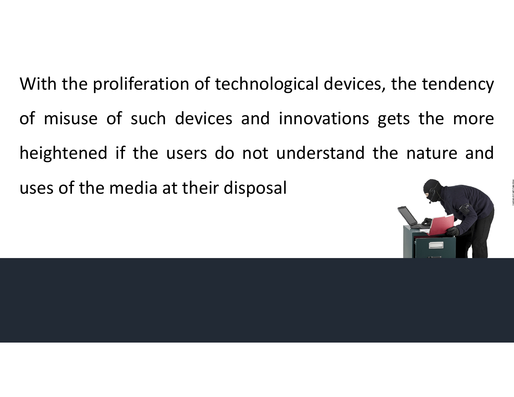With the proliferation of technological devices, the tendency of misuse of such devices and innovations gets the more heightened if the users do not understand the nature and uses of the media at their disposal

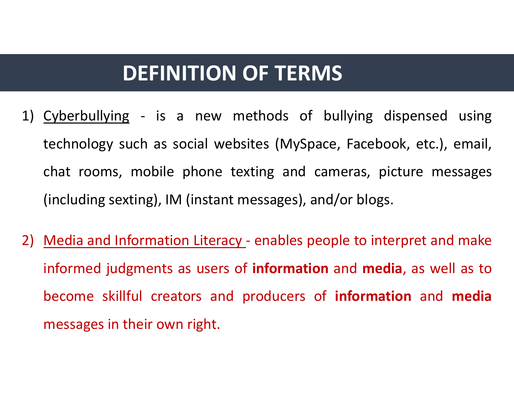## **DEFINITION OF TERMS**

- 1) Cyberbullying ‐ is <sup>a</sup> new methods of bullying dispensed using technology such as social websites (MySpace, Facebook, etc.), email, chat rooms, mobile phone texting and cameras, picture messages (including sexting), IM (instant messages), and/or blogs.
- 2) Media and Information Literacy enables people to interpret and make informed judgments as users of **information** and **media**, as well as to become skillful creators and producers of **information** and **media** messages in their own right.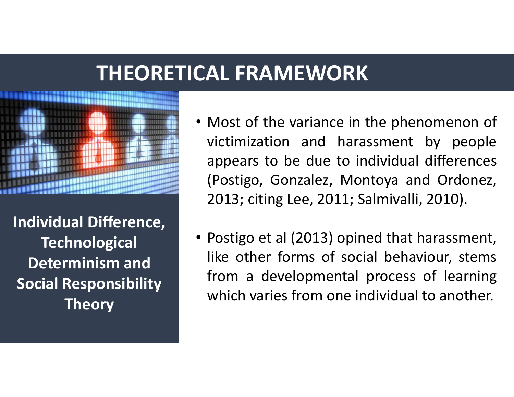### **THEORETICAL FRAMEWORK**



**Individual Difference, Technological Determinism and Social Responsibility Theory**

- Most of the variance in the phenomenon of victimization and harassment by people appears to be due to individual differences (Postigo, Gonzalez, Montoya and Ordonez, 2013; citing Lee, 2011; Salmivalli, 2010).
- Postigo et al (2013) opined that harassment, like other forms of social behaviour, stems from <sup>a</sup> developmental process of learning which varies from one individual to another.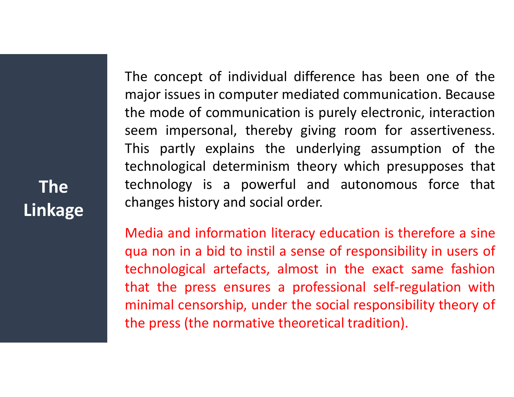The concept of individual difference has been one of the major issues in computer mediated communication. Because the mode of communication is purely electronic, interaction seem impersonal, thereby giving room for assertiveness. This partly explains the underlying assumption of the technological determinism theory which presupposes that technology is <sup>a</sup> powerful and autonomous force that changes history and social order.

Media and information literacy education is therefore <sup>a</sup> sine qua non in <sup>a</sup> bid to instil <sup>a</sup> sense of responsibility in users of technological artefacts, almost in the exact same fashion that the press ensures <sup>a</sup> professional self‐regulation with minimal censorship, under the social responsibility theory of the press (the normative theoretical tradition).

**The Linkage**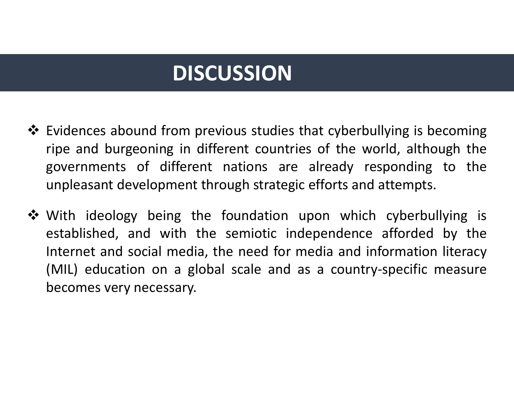# **DISCUSSION**

- Evidences abound from previous studies that cyberbullying is becoming ripe and burgeoning in different countries of the world, although the governments of different nations are already responding to the unpleasant development through strategic efforts and attempts.
- With ideology being the foundation upon which cyberbullying is established, and with the semiotic independence afforded by the Internet and social media, the need for media and information literacy (MIL) education on <sup>a</sup> global scale and as <sup>a</sup> country‐specific measure becomes very necessary.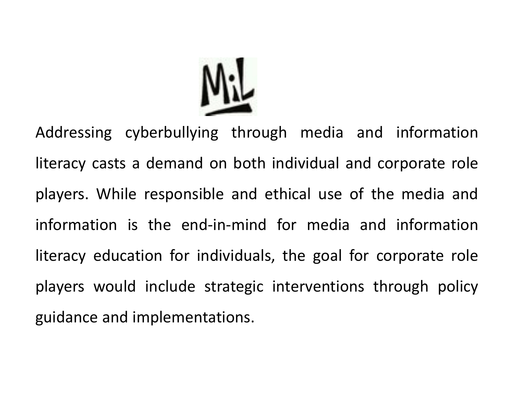

Addressing cyberbullying through media and information literacy casts <sup>a</sup> demand on both individual and corporate role players. While responsible and ethical use of the media and information is the end‐in‐mind for media and information literacy education for individuals, the goal for corporate role players would include strategic interventions through policy guidance and implementations.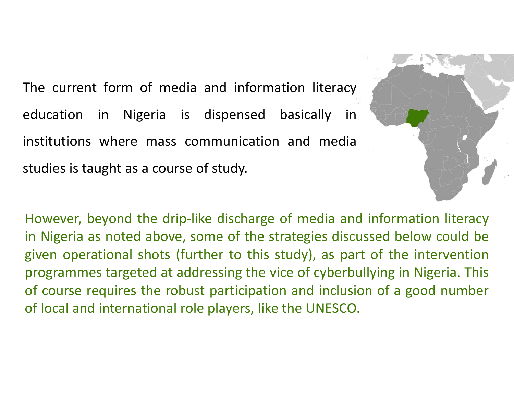The current form of media and information literacy education in Nigeria is dispensed basically in institutions where mass communication and media studies is taught as <sup>a</sup> course of study.



However, beyond the drip-like discharge of media and information literacy in Nigeria as noted above, some of the strategies discussed below could be given operational shots (further to this study), as part of the intervention programmes targeted at addressing the vice of cyberbullying in Nigeria. This of course requires the robust participation and inclusion of <sup>a</sup> good number of local and international role players, like the UNESCO.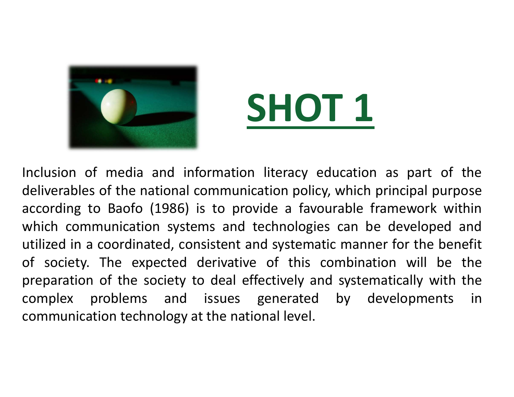



Inclusion of media and information literacy education as part of the deliverables of the national communication policy, which principal purpose according to Baofo (1986) is to provide <sup>a</sup> favourable framework within which communication systems and technologies can be developed and utilized in <sup>a</sup> coordinated, consistent and systematic manner for the benefit of society. The expected derivative of this combination will be the preparation of the society to deal effectively and systematically with the complex problems and issues generated by developments in communication technology at the national level.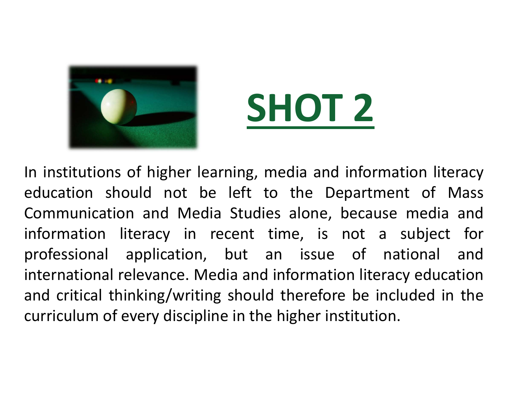



In institutions of higher learning, media and information literacy education should not be left to the Department of Mass Communication and Media Studies alone, because media and information literacy in recent time, is not <sup>a</sup> subject for professional application, but an issue of national and international relevance. Media and information literacy education and critical thinking/writing should therefore be included in the curriculum of every discipline in the higher institution.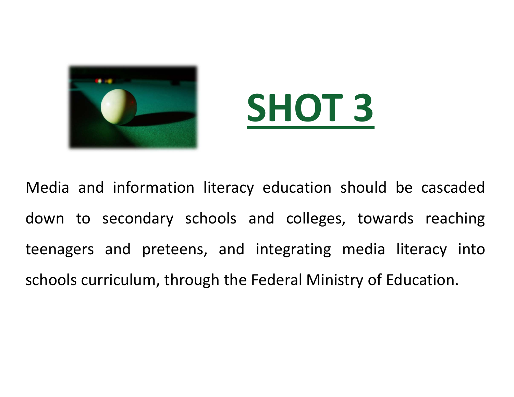



Media and information literacy education should be cascaded down to secondary schools and colleges, towards reaching teenagers and preteens, and integrating media literacy into schools curriculum, through the Federal Ministry of Education.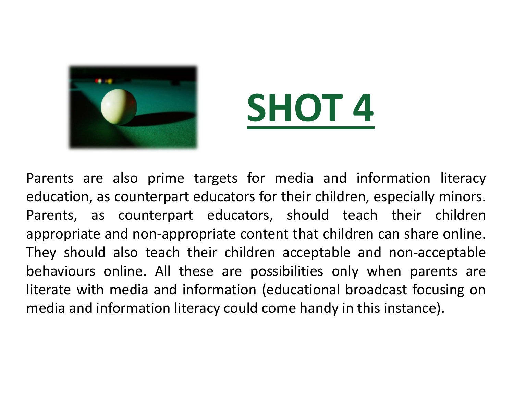



Parents are also prime targets for media and information literacy education, as counterpart educators for their children, especially minors. Parents, as counterpart educators, should teach their children appropriate and non‐appropriate content that children can share online. They should also teach their children acceptable and non‐acceptable behaviours online. All these are possibilities only when parents are literate with media and information (educational broadcast focusing on media and information literacy could come handy in this instance).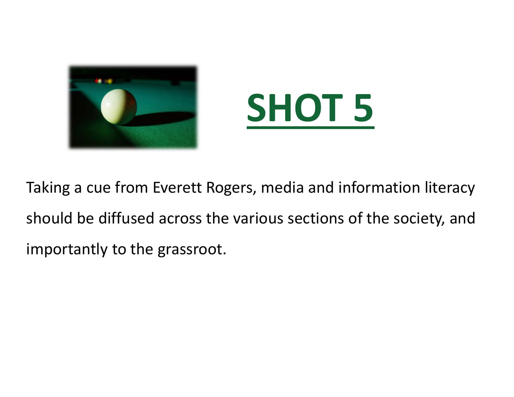



Taking a cue from Everett Rogers, media and information literacy should be diffused across the various sections of the society, and importantly to the grassroot.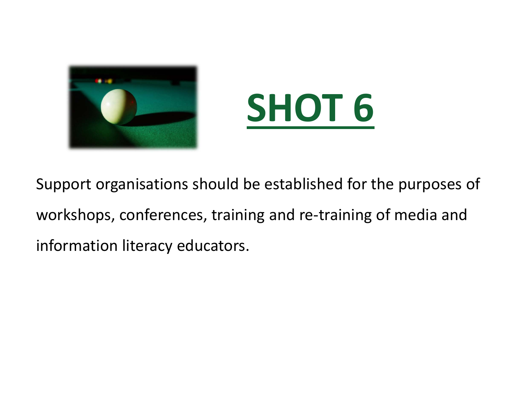



Support organisations should be established for the purposes of workshops, conferences, training and re-training of media and information literacy educators.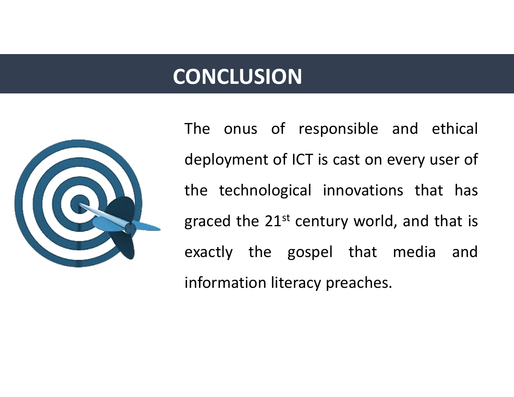# **CONCLUSION**



The onus of responsible and ethical deployment of ICT is cast on every user of the technological innovations that has graced the  $21^{st}$  century world, and that is exactly the gospel that media and information literacy preaches.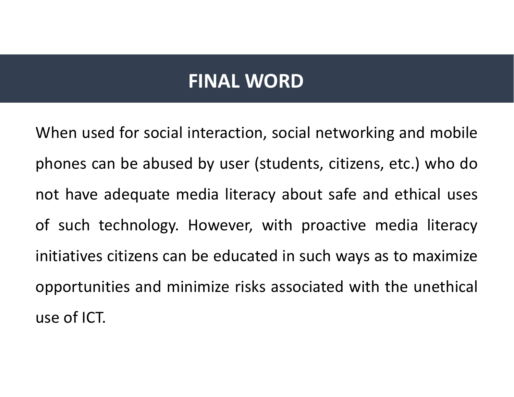#### **FINAL WORD**

When used for social interaction, social networking and mobile phones can be abused by user (students, citizens, etc.) who do not have adequate media literacy about safe and ethical uses of such technology. However, with proactive media literacy initiatives citizens can be educated in such ways as to maximize opportunities and minimize risks associated with the unethical use of ICT.